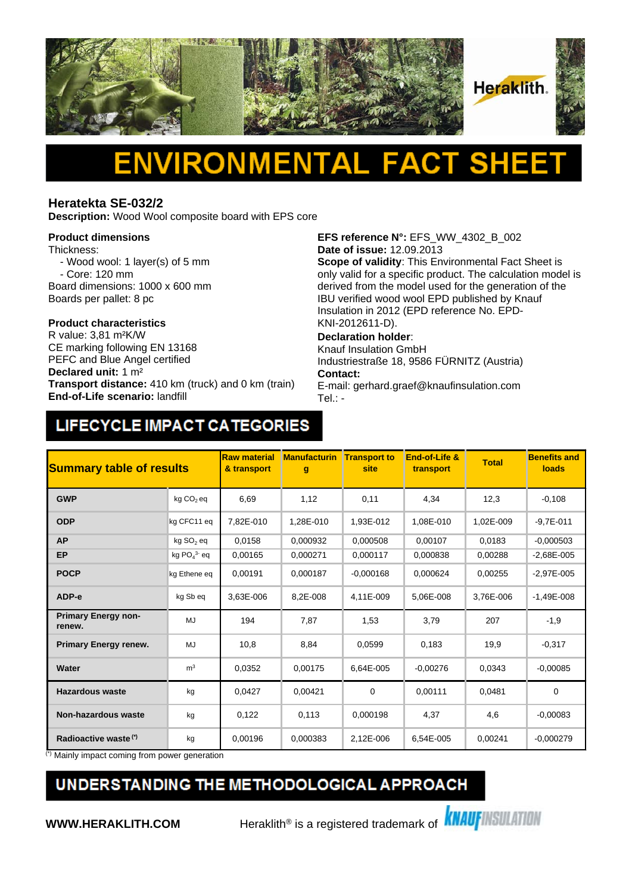

# Δ

#### **Heratekta SE-032/2**

**Description:** Wood Wool composite board with EPS core

#### **Product dimensions**

Thickness:

- Wood wool: 1 layer(s) of 5 mm - Core: 120 mm
- Board dimensions: 1000 x 600 mm Boards per pallet: 8 pc

## **Product characteristics**

CE marking following EN 13168 PEFC and Blue Angel certified **Declared unit:** 1 m² **Transport distance:** 410 km (truck) and 0 km (train) **End-of-Life scenario:** landfill

**EFS reference N°:** EFS\_WW\_4302\_B\_002 **Date of issue:** 12.09.2013

**Scope of validity**: This Environmental Fact Sheet is only valid for a specific product. The calculation model is derived from the model used for the generation of the IBU verified wood wool EPD published by Knauf Insulation in 2012 (EPD reference No. EPD-KNI-2012611-D).

#### **Declaration holder**:

Knauf Insulation GmbH Industriestraße 18, 9586 FÜRNITZ (Austria) **Contact:** 

E-mail: gerhard.graef@knaufinsulation.com Tel.: -

### LIFECYCLE IMPACT CATEGORIES

| <b>Summary table of results</b>      |                          | <b>Raw material</b><br>& transport | <b>Manufacturin</b><br>g | <b>Transport to</b><br>site | End-of-Life &<br>transport | <b>Total</b> | <b>Benefits and</b><br><b>loads</b> |
|--------------------------------------|--------------------------|------------------------------------|--------------------------|-----------------------------|----------------------------|--------------|-------------------------------------|
| <b>GWP</b>                           | kg CO <sub>2</sub> eq    | 6,69                               | 1,12                     | 0,11                        | 4,34                       | 12,3         | $-0,108$                            |
| <b>ODP</b>                           | kg CFC11 eq              | 7.82E-010                          | 1.28E-010                | 1.93E-012                   | 1.08E-010                  | 1,02E-009    | $-9.7E - 011$                       |
| <b>AP</b>                            | kg SO <sub>2</sub> eq    | 0,0158                             | 0.000932                 | 0.000508                    | 0,00107                    | 0,0183       | $-0.000503$                         |
| <b>EP</b>                            | kg $PO4$ <sup>3</sup> eq | 0.00165                            | 0,000271                 | 0.000117                    | 0.000838                   | 0.00288      | $-2.68E - 005$                      |
| <b>POCP</b>                          | kg Ethene eq             | 0,00191                            | 0,000187                 | $-0,000168$                 | 0,000624                   | 0,00255      | $-2,97E-005$                        |
| ADP-e                                | kg Sb eq                 | 3,63E-006                          | 8,2E-008                 | 4,11E-009                   | 5,06E-008                  | 3,76E-006    | $-1,49E-008$                        |
| <b>Primary Energy non-</b><br>renew. | MJ                       | 194                                | 7,87                     | 1,53                        | 3,79                       | 207          | $-1,9$                              |
| <b>Primary Energy renew.</b>         | MJ                       | 10,8                               | 8,84                     | 0,0599                      | 0,183                      | 19,9         | $-0,317$                            |
| Water                                | m <sup>3</sup>           | 0,0352                             | 0,00175                  | 6,64E-005                   | $-0.00276$                 | 0,0343       | $-0,00085$                          |
| <b>Hazardous waste</b>               | kg                       | 0,0427                             | 0,00421                  | 0                           | 0,00111                    | 0,0481       | $\mathbf 0$                         |
| <b>Non-hazardous waste</b>           | kg                       | 0,122                              | 0,113                    | 0.000198                    | 4,37                       | 4,6          | $-0,00083$                          |
| Radioactive waste <sup>(*)</sup>     | kg                       | 0.00196                            | 0,000383                 | 2,12E-006                   | 6,54E-005                  | 0,00241      | $-0,000279$                         |

Mainly impact coming from power generation

### UNDERSTANDING THE METHODOLOGICAL APPROACH

**WWW.HERAKLITH.COM** Heraklith<sup>®</sup> is a registered trademark of **KNAUFINSULATION**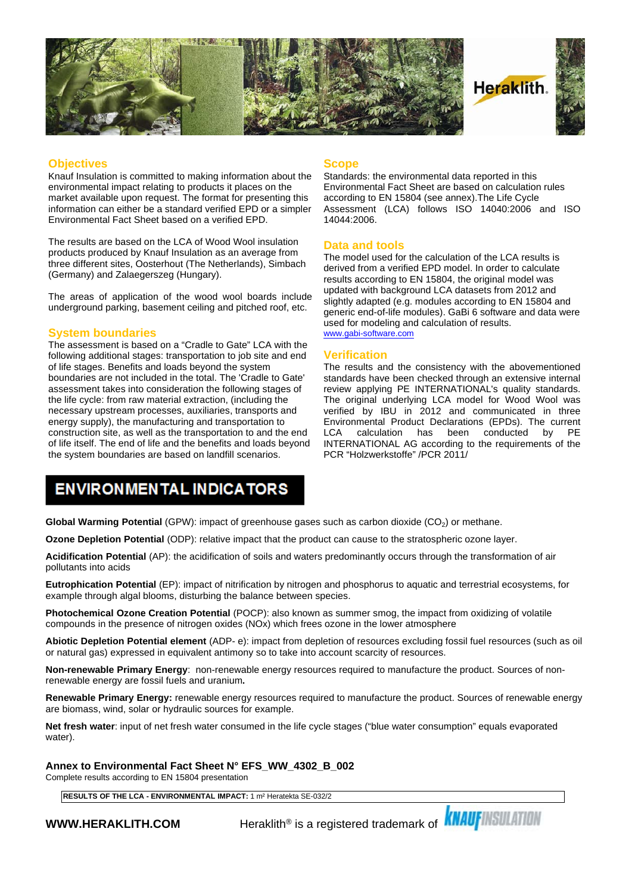

#### **Objectives**

Knauf Insulation is committed to making information about the environmental impact relating to products it places on the market available upon request. The format for presenting this information can either be a standard verified EPD or a simpler Environmental Fact Sheet based on a verified EPD.

The results are based on the LCA of Wood Wool insulation products produced by Knauf Insulation as an average from three different sites, Oosterhout (The Netherlands), Simbach (Germany) and Zalaegerszeg (Hungary).

The areas of application of the wood wool boards include underground parking, basement ceiling and pitched roof, etc.

#### **System boundaries**

The assessment is based on a "Cradle to Gate" LCA with the following additional stages: transportation to job site and end of life stages. Benefits and loads beyond the system boundaries are not included in the total. The 'Cradle to Gate' assessment takes into consideration the following stages of the life cycle: from raw material extraction, (including the necessary upstream processes, auxiliaries, transports and energy supply), the manufacturing and transportation to construction site, as well as the transportation to and the end LCA of life itself. The end of life and the benefits and loads beyond the system boundaries are based on landfill scenarios.

#### **Scope**

Standards: the environmental data reported in this Environmental Fact Sheet are based on calculation rules according to EN 15804 (see annex).The Life Cycle Assessment (LCA) follows ISO 14040:2006 and ISO 14044:2006.

#### **Data and tools**

The model used for the calculation of the LCA results is derived from a verified EPD model. In order to calculate results according to EN 15804, the original model was updated with background LCA datasets from 2012 and slightly adapted (e.g. modules according to EN 15804 and generic end-of-life modules). GaBi 6 software and data were used for modeling and calculation of results. [www.gabi-software.com](http://www.gabi-software.com)

#### **Verification**

The results and the consistency with the abovementioned standards have been checked through an extensive internal review applying PE INTERNATIONAL's quality standards. The original underlying LCA model for Wood Wool was verified by IBU in 2012 and communicated in three Environmental Product Declarations (EPDs). The current calculation has been conducted INTERNATIONAL AG according to the requirements of the PCR "Holzwerkstoffe" /PCR 2011/

### **ENVIRONMENTAL INDICATORS**

**Global Warming Potential** (GPW): impact of greenhouse gases such as carbon dioxide (CO<sub>2</sub>) or methane.

**Ozone Depletion Potential** (ODP): relative impact that the product can cause to the stratospheric ozone layer.

**Acidification Potential** (AP): the acidification of soils and waters predominantly occurs through the transformation of air pollutants into acids

**Eutrophication Potential** (EP): impact of nitrification by nitrogen and phosphorus to aquatic and terrestrial ecosystems, for example through algal blooms, disturbing the balance between species.

**Photochemical Ozone Creation Potential** (POCP): also known as summer smog, the impact from oxidizing of volatile compounds in the presence of nitrogen oxides (NOx) which frees ozone in the lower atmosphere

**Abiotic Depletion Potential element** (ADP- e): impact from depletion of resources excluding fossil fuel resources (such as oil or natural gas) expressed in equivalent antimony so to take into account scarcity of resources.

**Non-renewable Primary Energy**: non-renewable energy resources required to manufacture the product. Sources of nonrenewable energy are fossil fuels and uranium**.**

**Renewable Primary Energy:** renewable energy resources required to manufacture the product. Sources of renewable energy are biomass, wind, solar or hydraulic sources for example.

**Net fresh water**: input of net fresh water consumed in the life cycle stages ("blue water consumption" equals evaporated water).

**Annex to Environmental Fact Sheet N° EFS\_WW\_4302\_B\_002**

Complete results according to EN 15804 presentation

**RESULTS OF THE LCA - ENVIRONMENTAL IMPACT:** 1 m² Heratekta SE-032/2

**WWW.HERAKLITH.COM** Heraklith<sup>®</sup> is a registered trademark of **KNAUFINSULATION**